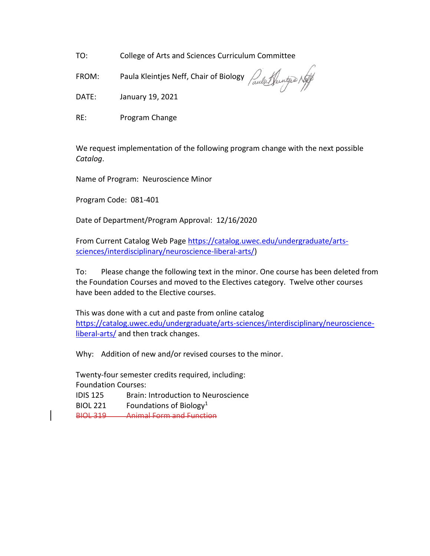TO: College of Arts and Sciences Curriculum Committee

FROM: Paula Kleintjes Neff, Chair of Biology  $\sqrt{a\mu}$ 

DATE: January 19, 2021

RE: Program Change

We request implementation of the following program change with the next possible *Catalog*.

Name of Program: Neuroscience Minor

Program Code: 081-401

Date of Department/Program Approval: 12/16/2020

From Current Catalog Web Page [https://catalog.uwec.edu/undergraduate/arts](https://catalog.uwec.edu/undergraduate/arts-sciences/interdisciplinary/neuroscience-liberal-arts/)[sciences/interdisciplinary/neuroscience-liberal-arts/\)](https://catalog.uwec.edu/undergraduate/arts-sciences/interdisciplinary/neuroscience-liberal-arts/)

To: Please change the following text in the minor. One course has been deleted from the Foundation Courses and moved to the Electives category. Twelve other courses have been added to the Elective courses.

This was done with a cut and paste from online catalog [https://catalog.uwec.edu/undergraduate/arts-sciences/interdisciplinary/neuroscience](https://catalog.uwec.edu/undergraduate/arts-sciences/interdisciplinary/neuroscience-liberal-arts/)[liberal-arts/](https://catalog.uwec.edu/undergraduate/arts-sciences/interdisciplinary/neuroscience-liberal-arts/) and then track changes.

Why: Addition of new and/or revised courses to the minor.

Twenty-four semester credits required, including: Foundation Courses: IDIS 125 Brain: Introduction to Neuroscience BIOL 221 Foundations of Biology<sup>1</sup>

BIOL 319 Animal Form and Function